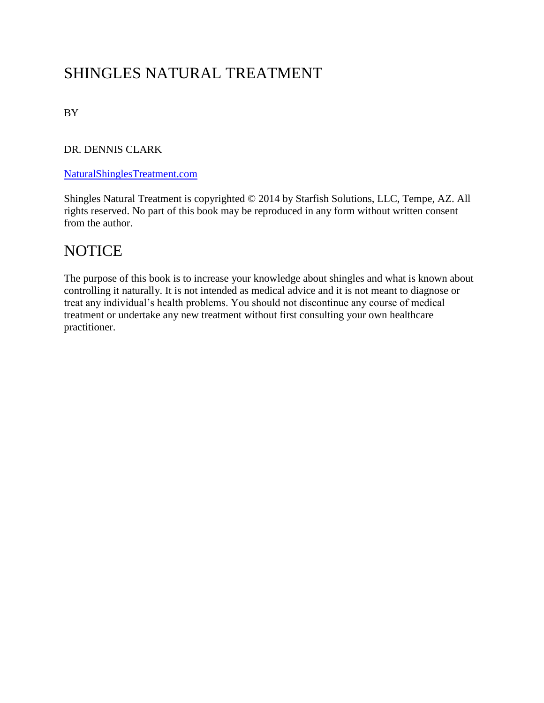# SHINGLES NATURAL TREATMENT

BY

DR. DENNIS CLARK

#### [NaturalShinglesTreatment.com](http://naturalshinglestreatment.com/)

Shingles Natural Treatment is copyrighted © 2014 by Starfish Solutions, LLC, Tempe, AZ. All rights reserved. No part of this book may be reproduced in any form without written consent from the author.

#### **NOTICE**

The purpose of this book is to increase your knowledge about shingles and what is known about controlling it naturally. It is not intended as medical advice and it is not meant to diagnose or treat any individual's health problems. You should not discontinue any course of medical treatment or undertake any new treatment without first consulting your own healthcare practitioner.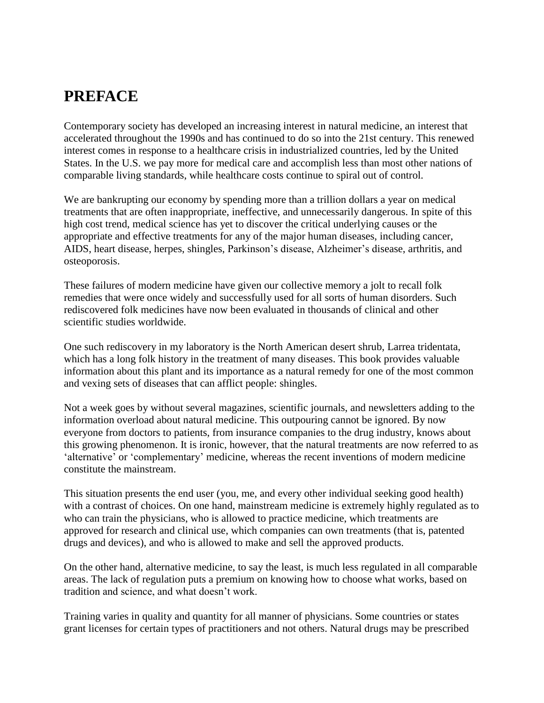### **PREFACE**

Contemporary society has developed an increasing interest in natural medicine, an interest that accelerated throughout the 1990s and has continued to do so into the 21st century. This renewed interest comes in response to a healthcare crisis in industrialized countries, led by the United States. In the U.S. we pay more for medical care and accomplish less than most other nations of comparable living standards, while healthcare costs continue to spiral out of control.

We are bankrupting our economy by spending more than a trillion dollars a year on medical treatments that are often inappropriate, ineffective, and unnecessarily dangerous. In spite of this high cost trend, medical science has yet to discover the critical underlying causes or the appropriate and effective treatments for any of the major human diseases, including cancer, AIDS, heart disease, herpes, shingles, Parkinson's disease, Alzheimer's disease, arthritis, and osteoporosis.

These failures of modern medicine have given our collective memory a jolt to recall folk remedies that were once widely and successfully used for all sorts of human disorders. Such rediscovered folk medicines have now been evaluated in thousands of clinical and other scientific studies worldwide.

One such rediscovery in my laboratory is the North American desert shrub, Larrea tridentata, which has a long folk history in the treatment of many diseases. This book provides valuable information about this plant and its importance as a natural remedy for one of the most common and vexing sets of diseases that can afflict people: shingles.

Not a week goes by without several magazines, scientific journals, and newsletters adding to the information overload about natural medicine. This outpouring cannot be ignored. By now everyone from doctors to patients, from insurance companies to the drug industry, knows about this growing phenomenon. It is ironic, however, that the natural treatments are now referred to as 'alternative' or 'complementary' medicine, whereas the recent inventions of modern medicine constitute the mainstream.

This situation presents the end user (you, me, and every other individual seeking good health) with a contrast of choices. On one hand, mainstream medicine is extremely highly regulated as to who can train the physicians, who is allowed to practice medicine, which treatments are approved for research and clinical use, which companies can own treatments (that is, patented drugs and devices), and who is allowed to make and sell the approved products.

On the other hand, alternative medicine, to say the least, is much less regulated in all comparable areas. The lack of regulation puts a premium on knowing how to choose what works, based on tradition and science, and what doesn't work.

Training varies in quality and quantity for all manner of physicians. Some countries or states grant licenses for certain types of practitioners and not others. Natural drugs may be prescribed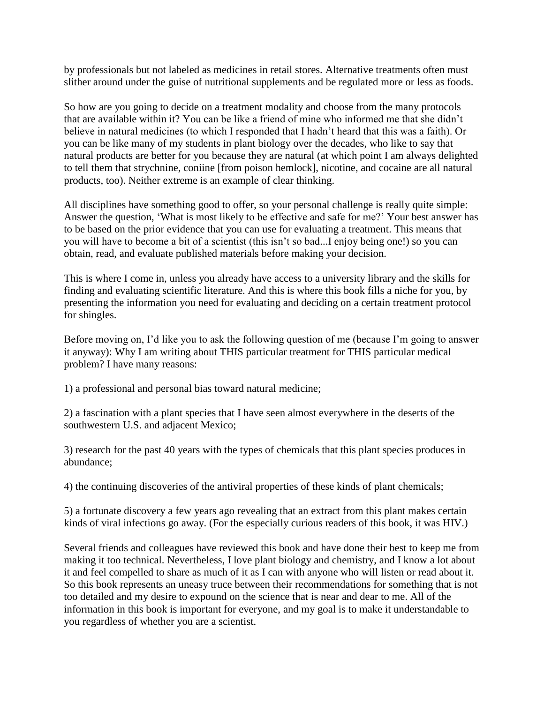by professionals but not labeled as medicines in retail stores. Alternative treatments often must slither around under the guise of nutritional supplements and be regulated more or less as foods.

So how are you going to decide on a treatment modality and choose from the many protocols that are available within it? You can be like a friend of mine who informed me that she didn't believe in natural medicines (to which I responded that I hadn't heard that this was a faith). Or you can be like many of my students in plant biology over the decades, who like to say that natural products are better for you because they are natural (at which point I am always delighted to tell them that strychnine, coniine [from poison hemlock], nicotine, and cocaine are all natural products, too). Neither extreme is an example of clear thinking.

All disciplines have something good to offer, so your personal challenge is really quite simple: Answer the question, 'What is most likely to be effective and safe for me?' Your best answer has to be based on the prior evidence that you can use for evaluating a treatment. This means that you will have to become a bit of a scientist (this isn't so bad...I enjoy being one!) so you can obtain, read, and evaluate published materials before making your decision.

This is where I come in, unless you already have access to a university library and the skills for finding and evaluating scientific literature. And this is where this book fills a niche for you, by presenting the information you need for evaluating and deciding on a certain treatment protocol for shingles.

Before moving on, I'd like you to ask the following question of me (because I'm going to answer it anyway): Why I am writing about THIS particular treatment for THIS particular medical problem? I have many reasons:

1) a professional and personal bias toward natural medicine;

2) a fascination with a plant species that I have seen almost everywhere in the deserts of the southwestern U.S. and adjacent Mexico;

3) research for the past 40 years with the types of chemicals that this plant species produces in abundance;

4) the continuing discoveries of the antiviral properties of these kinds of plant chemicals;

5) a fortunate discovery a few years ago revealing that an extract from this plant makes certain kinds of viral infections go away. (For the especially curious readers of this book, it was HIV.)

Several friends and colleagues have reviewed this book and have done their best to keep me from making it too technical. Nevertheless, I love plant biology and chemistry, and I know a lot about it and feel compelled to share as much of it as I can with anyone who will listen or read about it. So this book represents an uneasy truce between their recommendations for something that is not too detailed and my desire to expound on the science that is near and dear to me. All of the information in this book is important for everyone, and my goal is to make it understandable to you regardless of whether you are a scientist.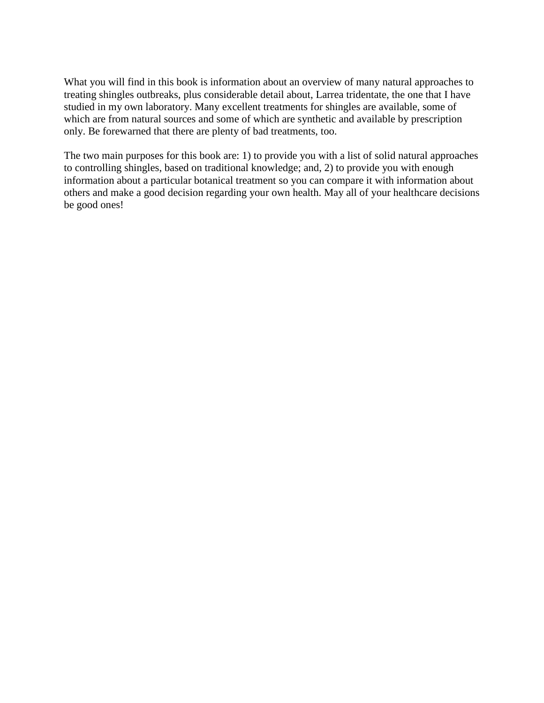What you will find in this book is information about an overview of many natural approaches to treating shingles outbreaks, plus considerable detail about, Larrea tridentate, the one that I have studied in my own laboratory. Many excellent treatments for shingles are available, some of which are from natural sources and some of which are synthetic and available by prescription only. Be forewarned that there are plenty of bad treatments, too.

The two main purposes for this book are: 1) to provide you with a list of solid natural approaches to controlling shingles, based on traditional knowledge; and, 2) to provide you with enough information about a particular botanical treatment so you can compare it with information about others and make a good decision regarding your own health. May all of your healthcare decisions be good ones!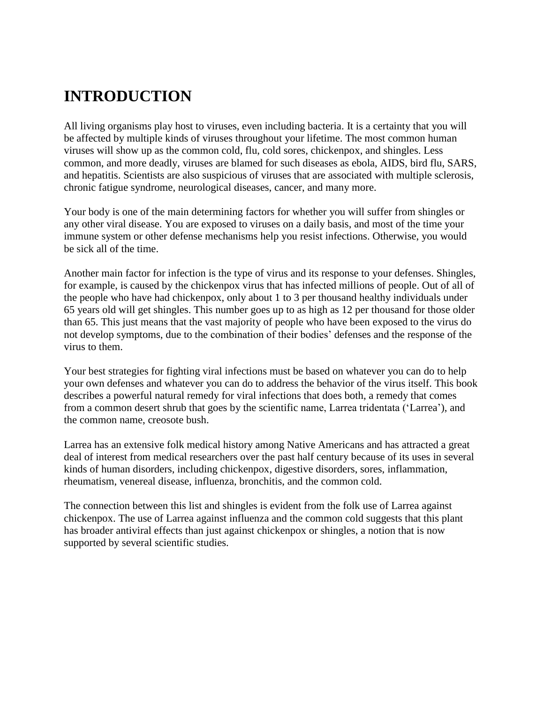# **INTRODUCTION**

All living organisms play host to viruses, even including bacteria. It is a certainty that you will be affected by multiple kinds of viruses throughout your lifetime. The most common human viruses will show up as the common cold, flu, cold sores, chickenpox, and shingles. Less common, and more deadly, viruses are blamed for such diseases as ebola, AIDS, bird flu, SARS, and hepatitis. Scientists are also suspicious of viruses that are associated with multiple sclerosis, chronic fatigue syndrome, neurological diseases, cancer, and many more.

Your body is one of the main determining factors for whether you will suffer from shingles or any other viral disease. You are exposed to viruses on a daily basis, and most of the time your immune system or other defense mechanisms help you resist infections. Otherwise, you would be sick all of the time.

Another main factor for infection is the type of virus and its response to your defenses. Shingles, for example, is caused by the chickenpox virus that has infected millions of people. Out of all of the people who have had chickenpox, only about 1 to 3 per thousand healthy individuals under 65 years old will get shingles. This number goes up to as high as 12 per thousand for those older than 65. This just means that the vast majority of people who have been exposed to the virus do not develop symptoms, due to the combination of their bodies' defenses and the response of the virus to them.

Your best strategies for fighting viral infections must be based on whatever you can do to help your own defenses and whatever you can do to address the behavior of the virus itself. This book describes a powerful natural remedy for viral infections that does both, a remedy that comes from a common desert shrub that goes by the scientific name, Larrea tridentata ('Larrea'), and the common name, creosote bush.

Larrea has an extensive folk medical history among Native Americans and has attracted a great deal of interest from medical researchers over the past half century because of its uses in several kinds of human disorders, including chickenpox, digestive disorders, sores, inflammation, rheumatism, venereal disease, influenza, bronchitis, and the common cold.

The connection between this list and shingles is evident from the folk use of Larrea against chickenpox. The use of Larrea against influenza and the common cold suggests that this plant has broader antiviral effects than just against chickenpox or shingles, a notion that is now supported by several scientific studies.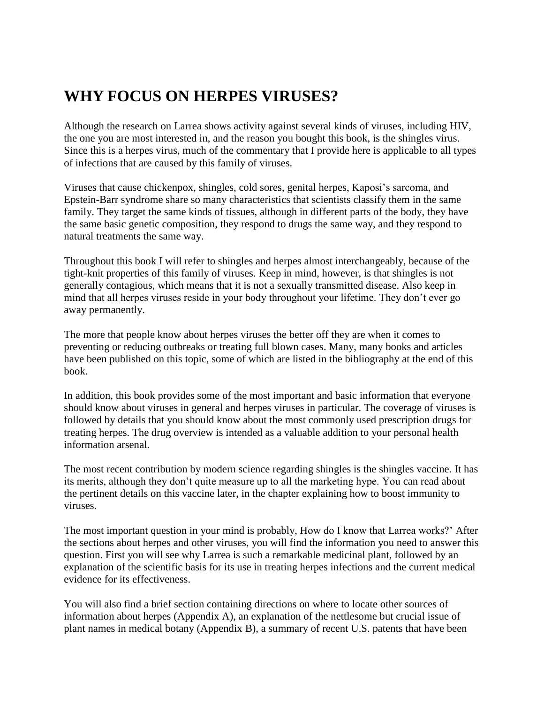## **WHY FOCUS ON HERPES VIRUSES?**

Although the research on Larrea shows activity against several kinds of viruses, including HIV, the one you are most interested in, and the reason you bought this book, is the shingles virus. Since this is a herpes virus, much of the commentary that I provide here is applicable to all types of infections that are caused by this family of viruses.

Viruses that cause chickenpox, shingles, cold sores, genital herpes, Kaposi's sarcoma, and Epstein-Barr syndrome share so many characteristics that scientists classify them in the same family. They target the same kinds of tissues, although in different parts of the body, they have the same basic genetic composition, they respond to drugs the same way, and they respond to natural treatments the same way.

Throughout this book I will refer to shingles and herpes almost interchangeably, because of the tight-knit properties of this family of viruses. Keep in mind, however, is that shingles is not generally contagious, which means that it is not a sexually transmitted disease. Also keep in mind that all herpes viruses reside in your body throughout your lifetime. They don't ever go away permanently.

The more that people know about herpes viruses the better off they are when it comes to preventing or reducing outbreaks or treating full blown cases. Many, many books and articles have been published on this topic, some of which are listed in the bibliography at the end of this book.

In addition, this book provides some of the most important and basic information that everyone should know about viruses in general and herpes viruses in particular. The coverage of viruses is followed by details that you should know about the most commonly used prescription drugs for treating herpes. The drug overview is intended as a valuable addition to your personal health information arsenal.

The most recent contribution by modern science regarding shingles is the shingles vaccine. It has its merits, although they don't quite measure up to all the marketing hype. You can read about the pertinent details on this vaccine later, in the chapter explaining how to boost immunity to viruses.

The most important question in your mind is probably, How do I know that Larrea works?' After the sections about herpes and other viruses, you will find the information you need to answer this question. First you will see why Larrea is such a remarkable medicinal plant, followed by an explanation of the scientific basis for its use in treating herpes infections and the current medical evidence for its effectiveness.

You will also find a brief section containing directions on where to locate other sources of information about herpes (Appendix A), an explanation of the nettlesome but crucial issue of plant names in medical botany (Appendix B), a summary of recent U.S. patents that have been